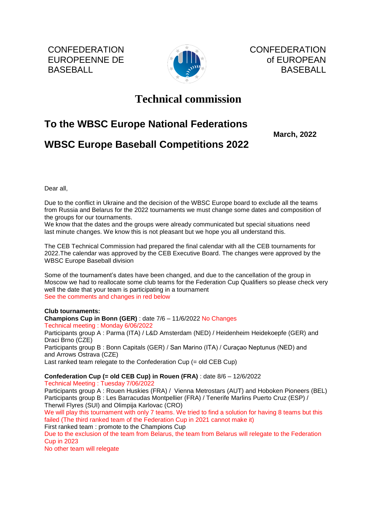**CONFEDERATION** EUROPEENNE DE BASEBALL



CONFEDERATION of EUROPEAN BASEBALL

# **Technical commission**

## **To the WBSC Europe National Federations**

 **March, 2022**

### **WBSC Europe Baseball Competitions 2022**

Dear all,

Due to the conflict in Ukraine and the decision of the WBSC Europe board to exclude all the teams from Russia and Belarus for the 2022 tournaments we must change some dates and composition of the groups for our tournaments.

We know that the dates and the groups were already communicated but special situations need last minute changes. We know this is not pleasant but we hope you all understand this.

The CEB Technical Commission had prepared the final calendar with all the CEB tournaments for 2022.The calendar was approved by the CEB Executive Board. The changes were approved by the WBSC Europe Baseball division

Some of the tournament's dates have been changed, and due to the cancellation of the group in Moscow we had to reallocate some club teams for the Federation Cup Qualifiers so please check very well the date that your team is participating in a tournament See the comments and changes in red below

#### **Club tournaments:**

**Champions Cup in Bonn (GER)** : date 7/6 – 11/6/2022 No Changes Technical meeting : Monday 6/06/2022 Participants group A : Parma (ITA) / L&D Amsterdam (NED) / Heidenheim Heidekoepfe (GER) and Draci Brno (CZE) Participants group B : Bonn Capitals (GER) / San Marino (ITA) / Curaçao Neptunus (NED) and and Arrows Ostrava (CZE) Last ranked team relegate to the Confederation Cup (= old CEB Cup)

**Confederation Cup (= old CEB Cup) in Rouen (FRA)** : date 8/6 – 12/6/2022 Technical Meeting : Tuesday 7/06/2022

Participants group A : Rouen Huskies (FRA) / Vienna Metrostars (AUT) and Hoboken Pioneers (BEL) Participants group B : Les Barracudas Montpellier (FRA) / Tenerife Marlins Puerto Cruz (ESP) / Therwil Flyres (SUI) and Olimpija Karlovac (CRO)

We will play this tournament with only 7 teams. We tried to find a solution for having 8 teams but this failed (The third ranked team of the Federation Cup in 2021 cannot make it) First ranked team : promote to the Champions Cup

Due to the exclusion of the team from Belarus, the team from Belarus will relegate to the Federation Cup in 2023

No other team will relegate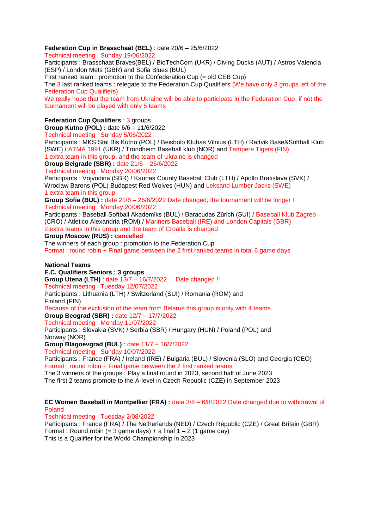### **Federation Cup in Brasschaat (BEL)** : date 20/6 – 25/6/2022

Technical meeting : Sunday 19/06/2022

Participants : Brasschaat Braves(BEL) / BioTechCom (UKR) / Diving Ducks (AUT) / Astros Valencia (ESP) / London Mets (GBR) and Sofia Blues (BUL)

First ranked team : promotion to the Confederation Cup (= old CEB Cup)

The 3 last ranked teams : relegate to the Federation Cup Qualifiers (We have only 3 groups left of the Federation Cup Qualifiers)

We really hope that the team from Ukraine will be able to participate in the Federation Cup, if not the tournament will be played with only 5 teams

#### **Federation Cup Qualifiers** : 3 groups

**Group Kutno (POL) :** date 6/6 – 11/6/2022

Technical meeting : Sunday 5/06/2022

Participants : MKS Stal Bis Kutno (POL) / Beisbolo Klubas Vilnius (LTH) / Rattvik Base&Softball Klub (SWE) / ATMA 1991 (UKR) / Trondheim Baseball klub (NOR) and Tampere Tigers (FIN) 1 extra team in this group, and the team of Ukraine is changed

**Group Belgrade (SBR) :** date 21/6 – 26/6/2022

Technical meeting : Monday 20/06/2022

Participants : Vojvodina (SBR) / Kaunas County Baseball Club (LTH) / Apollo Bratislava (SVK) / Wroclaw Barons (POL) Budapest Red Wolves (HUN) and Leksand Lumber Jacks (SWE) 1 extra team in this group

**Group Sofia (BUL) :** date 21/6 – 26/6/2022 Date changed, the tournament will be longer ! Technical meeting : Monday 20/06/2022

Participants : Baseball Softball Akademiks (BUL) / Baracudas Zûrich (SUI) / Baseball Klub Zagreb (CRO) / Atletico Alexandria (ROM) / Mariners Baseball (IRE) and London Capitals (GBR) 2 extra teams in this group and the team of Croatia is changed

**Group Moscow (RUS) : cancelled**

The winners of each group : promotion to the Federation Cup Format : round robin + Final game between the 2 first ranked teams in total 6 game days

#### **National Teams**

**E.C. Qualifiers Seniors : 3 groups**

**Group Utena (LTH)** : date 13/7 – 16/7/2022 Date changed !!

Technical meeting : Tuesday 12/07/2022

Participants : Lithuania (LTH) / Switzerland (SUI) / Romania (ROM) and Finland (FIN)

Because of the exclusion of the team from Belarus this group is only with 4 teams **Group Beograd (SBR) :** date 12/7 – 17/7/2022

Technical meeting : Monday 11/07/2022

Participants : Slovakia (SVK) / Serbia (SBR) / Hungary (HUN) / Poland (POL) and Norway (NOR)

**Group Blagoevgrad (BUL)** : date 11/7 – 16/7/2022

Technical meeting : Sunday 10/07/2022

Participants : France (FRA) / Ireland (IRE) / Bulgaria (BUL) / Slovenia (SLO) and Georgia (GEO) Format : round robin + Final game between the 2 first ranked teams

The 3 winners of the groups : Play a final round in 2023, second half of June 2023

The first 2 teams promote to the A-level in Czech Republic (CZE) in September 2023

#### **EC Women Baseball in Montpellier (FRA) :** date 3/8 – 6/8/2022 Date changed due to withdrawal of Poland

Technical meeting : Tuesday 2/08/2022

Participants : France (FRA) / The Netherlands (NED) / Czech Republic (CZE) / Great Britain (GBR) Format : Round robin  $(= 3 \text{ game days}) + a \text{ final } 1 - 2$  (1 game day) This is a Qualifier for the World Championship in 2023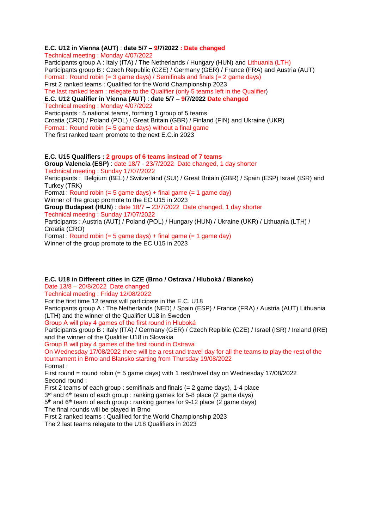#### **E.C. U12 in Vienna (AUT)** : **date 5/7 – 9/7/2022 : Date changed**

Technical meeting : Monday 4/07/2022

Participants group A : Italy (ITA) / The Netherlands / Hungary (HUN) and Lithuania (LTH) Participants group B : Czech Republic (CZE) / Germany (GER) / France (FRA) and Austria (AUT) Format : Round robin  $(= 3$  game days) / Semifinals and finals  $(= 2$  game days) First 2 ranked teams : Qualified for the World Championship 2023 The last ranked team : relegate to the Qualifier (only 5 teams left in the Qualifier) **E.C. U12 Qualifier in Vienna (AUT)** : **date 5/7 – 9/7/2022 Date changed** Technical meeting : Monday 4/07/2022 Participants : 5 national teams, forming 1 group of 5 teams Croatia (CRO) / Poland (POL) / Great Britain (GBR) / Finland (FIN) and Ukraine (UKR) Format : Round robin (= 5 game days) without a final game The first ranked team promote to the next E.C.in 2023 **E.C. U15 Qualifiers : 2 groups of 6 teams instead of 7 teams Group Valencia (ESP)** : date 18/7 - 23/7/2022 Date changed, 1 day shorter Technical meeting : Sunday 17/07/2022

Participants : Belgium (BEL) / Switzerland (SUI) / Great Britain (GBR) / Spain (ESP) Israel (ISR) and Turkey (TRK)

Format : Round robin  $(= 5$  game days) + final game  $(= 1$  game day)

Winner of the group promote to the EC U15 in 2023

**Group Budapest (HUN**) : date 18/7 – 23/7/2022 Date changed, 1 day shorter

Technical meeting : Sunday 17/07/2022

Participants : Austria (AUT) / Poland (POL) / Hungary (HUN) / Ukraine (UKR) / Lithuania (LTH) / Croatia (CRO)

Format : Round robin  $(= 5$  game days) + final game  $(= 1$  game day) Winner of the group promote to the EC U15 in 2023

#### **E.C. U18 in Different cities in CZE (Brno / Ostrava / Hluboká / Blansko)**

Date 13/8 – 20/8/2022 Date changed

Technical meeting : Friday 12/08/2022

For the first time 12 teams will participate in the E.C. U18

Participants group A : The Netherlands (NED) / Spain (ESP) / France (FRA) / Austria (AUT) Lithuania (LTH) and the winner of the Qualifier U18 in Sweden

Group A will play 4 games of the first round in Hluboká

Participants group B : Italy (ITA) / Germany (GER) / Czech Repiblic (CZE) / Israel (ISR) / Ireland (IRE) and the winner of the Qualifier U18 in Slovakia

Group B will play 4 games of the first round in Ostrava

On Wednesday 17/08/2022 there will be a rest and travel day for all the teams to play the rest of the tournament in Brno and Blansko starting from Thursday 19/08/2022 Format :

First round = round robin (= 5 game days) with 1 rest/travel day on Wednesday 17/08/2022 Second round :

First 2 teams of each group : semifinals and finals (= 2 game days), 1-4 place

3<sup>rd</sup> and 4<sup>th</sup> team of each group : ranking games for 5-8 place (2 game days)

5<sup>th</sup> and 6<sup>th</sup> team of each group : ranking games for 9-12 place (2 game days)

The final rounds will be played in Brno

First 2 ranked teams : Qualified for the World Championship 2023

The 2 last teams relegate to the U18 Qualifiers in 2023